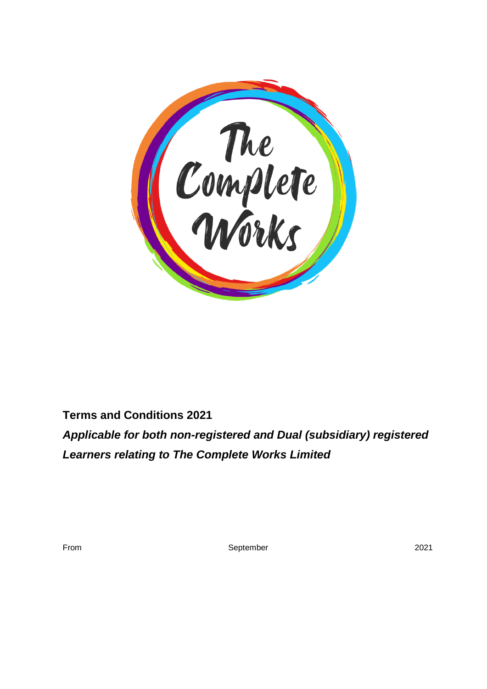

# **Terms and Conditions 2021**

*Applicable for both non-registered and Dual (subsidiary) registered Learners relating to The Complete Works Limited*

September 2021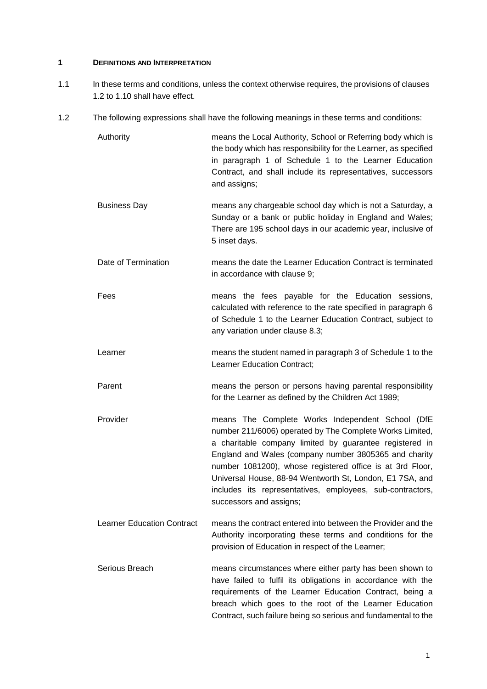#### **1 DEFINITIONS AND INTERPRETATION**

- 1.1 In these terms and conditions, unless the context otherwise requires, the provisions of clauses 1.2 to 1.10 shall have effect.
- 1.2 The following expressions shall have the following meanings in these terms and conditions:

Authority means the Local Authority, School or Referring body which is the body which has responsibility for the Learner, as specified in paragraph 1 of Schedule 1 to the Learner Education Contract, and shall include its representatives, successors and assigns;

- Business Day means any chargeable school day which is not a Saturday, a Sunday or a bank or public holiday in England and Wales; There are 195 school days in our academic year, inclusive of 5 inset days.
- Date of Termination means the date the Learner Education Contract is terminated in accordance with clause 9;
- Fees means the fees payable for the Education sessions, calculated with reference to the rate specified in paragraph 6 of Schedule 1 to the Learner Education Contract, subject to any variation under clause 8.3;
- Learner means the student named in paragraph 3 of Schedule 1 to the Learner Education Contract;
- Parent means the person or persons having parental responsibility for the Learner as defined by the Children Act 1989;
- Provider means The Complete Works Independent School (DfE number 211/6006) operated by The Complete Works Limited, a charitable company limited by guarantee registered in England and Wales (company number 3805365 and charity number 1081200), whose registered office is at 3rd Floor, Universal House, 88-94 Wentworth St, London, E1 7SA, and includes its representatives, employees, sub-contractors, successors and assigns;
- Learner Education Contract means the contract entered into between the Provider and the Authority incorporating these terms and conditions for the provision of Education in respect of the Learner;
- Serious Breach means circumstances where either party has been shown to have failed to fulfil its obligations in accordance with the requirements of the Learner Education Contract, being a breach which goes to the root of the Learner Education Contract, such failure being so serious and fundamental to the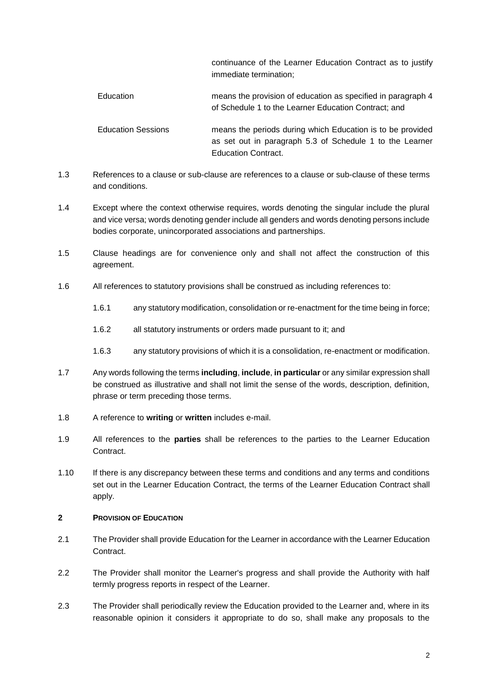continuance of the Learner Education Contract as to justify immediate termination;

- Education means the provision of education as specified in paragraph 4 of Schedule 1 to the Learner Education Contract; and Education Sessions means the periods during which Education is to be provided as set out in paragraph 5.3 of Schedule 1 to the Learner
- 1.3 References to a clause or sub-clause are references to a clause or sub-clause of these terms and conditions.

Education Contract.

- 1.4 Except where the context otherwise requires, words denoting the singular include the plural and vice versa; words denoting gender include all genders and words denoting persons include bodies corporate, unincorporated associations and partnerships.
- 1.5 Clause headings are for convenience only and shall not affect the construction of this agreement.
- 1.6 All references to statutory provisions shall be construed as including references to:
	- 1.6.1 any statutory modification, consolidation or re-enactment for the time being in force;
	- 1.6.2 all statutory instruments or orders made pursuant to it; and
	- 1.6.3 any statutory provisions of which it is a consolidation, re-enactment or modification.
- 1.7 Any words following the terms **including**, **include**, **in particular** or any similar expression shall be construed as illustrative and shall not limit the sense of the words, description, definition, phrase or term preceding those terms.
- 1.8 A reference to **writing** or **written** includes e-mail.
- 1.9 All references to the **parties** shall be references to the parties to the Learner Education **Contract.**
- 1.10 If there is any discrepancy between these terms and conditions and any terms and conditions set out in the Learner Education Contract, the terms of the Learner Education Contract shall apply.

## **2 PROVISION OF EDUCATION**

- 2.1 The Provider shall provide Education for the Learner in accordance with the Learner Education Contract.
- 2.2 The Provider shall monitor the Learner's progress and shall provide the Authority with half termly progress reports in respect of the Learner.
- 2.3 The Provider shall periodically review the Education provided to the Learner and, where in its reasonable opinion it considers it appropriate to do so, shall make any proposals to the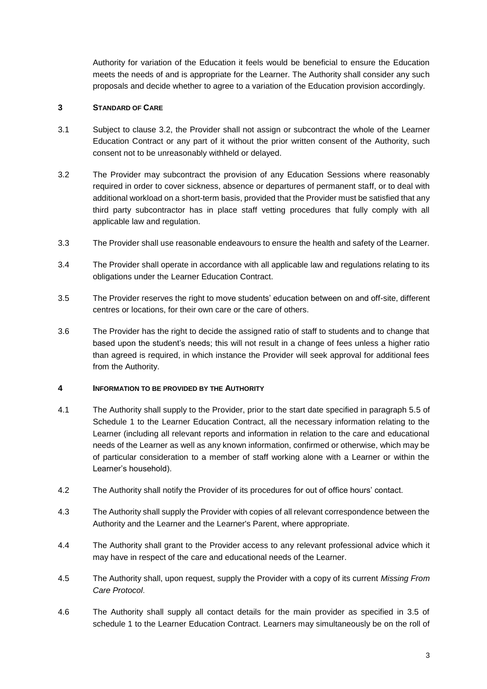Authority for variation of the Education it feels would be beneficial to ensure the Education meets the needs of and is appropriate for the Learner. The Authority shall consider any such proposals and decide whether to agree to a variation of the Education provision accordingly.

# **3 STANDARD OF CARE**

- 3.1 Subject to clause 3.2, the Provider shall not assign or subcontract the whole of the Learner Education Contract or any part of it without the prior written consent of the Authority, such consent not to be unreasonably withheld or delayed.
- 3.2 The Provider may subcontract the provision of any Education Sessions where reasonably required in order to cover sickness, absence or departures of permanent staff, or to deal with additional workload on a short-term basis, provided that the Provider must be satisfied that any third party subcontractor has in place staff vetting procedures that fully comply with all applicable law and regulation.
- 3.3 The Provider shall use reasonable endeavours to ensure the health and safety of the Learner.
- 3.4 The Provider shall operate in accordance with all applicable law and regulations relating to its obligations under the Learner Education Contract.
- 3.5 The Provider reserves the right to move students' education between on and off-site, different centres or locations, for their own care or the care of others.
- 3.6 The Provider has the right to decide the assigned ratio of staff to students and to change that based upon the student's needs; this will not result in a change of fees unless a higher ratio than agreed is required, in which instance the Provider will seek approval for additional fees from the Authority.

## **4 INFORMATION TO BE PROVIDED BY THE AUTHORITY**

- 4.1 The Authority shall supply to the Provider, prior to the start date specified in paragraph 5.5 of Schedule 1 to the Learner Education Contract, all the necessary information relating to the Learner (including all relevant reports and information in relation to the care and educational needs of the Learner as well as any known information, confirmed or otherwise, which may be of particular consideration to a member of staff working alone with a Learner or within the Learner's household).
- 4.2 The Authority shall notify the Provider of its procedures for out of office hours' contact.
- 4.3 The Authority shall supply the Provider with copies of all relevant correspondence between the Authority and the Learner and the Learner's Parent, where appropriate.
- 4.4 The Authority shall grant to the Provider access to any relevant professional advice which it may have in respect of the care and educational needs of the Learner.
- 4.5 The Authority shall, upon request, supply the Provider with a copy of its current *Missing From Care Protocol*.
- 4.6 The Authority shall supply all contact details for the main provider as specified in 3.5 of schedule 1 to the Learner Education Contract. Learners may simultaneously be on the roll of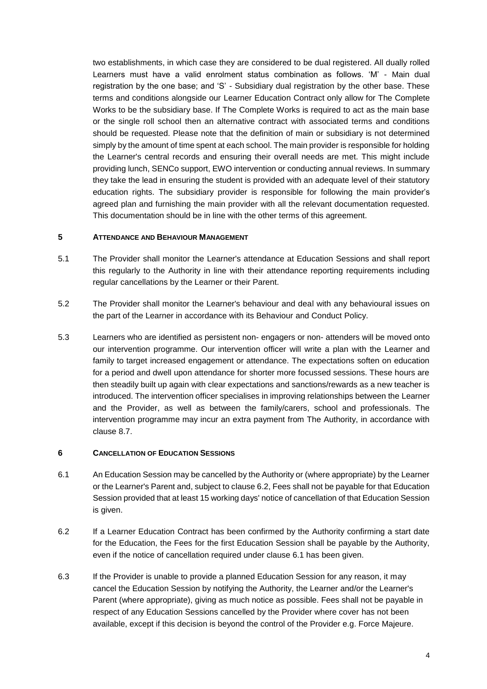two establishments, in which case they are considered to be dual registered. All dually rolled Learners must have a valid enrolment status combination as follows. 'M' - Main dual registration by the one base; and 'S' - Subsidiary dual registration by the other base. These terms and conditions alongside our Learner Education Contract only allow for The Complete Works to be the subsidiary base. If The Complete Works is required to act as the main base or the single roll school then an alternative contract with associated terms and conditions should be requested. Please note that the definition of main or subsidiary is not determined simply by the amount of time spent at each school. The main provider is responsible for holding the Learner's central records and ensuring their overall needs are met. This might include providing lunch, SENCo support, EWO intervention or conducting annual reviews. In summary they take the lead in ensuring the student is provided with an adequate level of their statutory education rights. The subsidiary provider is responsible for following the main provider's agreed plan and furnishing the main provider with all the relevant documentation requested. This documentation should be in line with the other terms of this agreement.

#### **5 ATTENDANCE AND BEHAVIOUR MANAGEMENT**

- 5.1 The Provider shall monitor the Learner's attendance at Education Sessions and shall report this regularly to the Authority in line with their attendance reporting requirements including regular cancellations by the Learner or their Parent.
- 5.2 The Provider shall monitor the Learner's behaviour and deal with any behavioural issues on the part of the Learner in accordance with its Behaviour and Conduct Policy.
- 5.3 Learners who are identified as persistent non- engagers or non- attenders will be moved onto our intervention programme. Our intervention officer will write a plan with the Learner and family to target increased engagement or attendance. The expectations soften on education for a period and dwell upon attendance for shorter more focussed sessions. These hours are then steadily built up again with clear expectations and sanctions/rewards as a new teacher is introduced. The intervention officer specialises in improving relationships between the Learner and the Provider, as well as between the family/carers, school and professionals. The intervention programme may incur an extra payment from The Authority, in accordance with clause 8.7.

#### **6 CANCELLATION OF EDUCATION SESSIONS**

- 6.1 An Education Session may be cancelled by the Authority or (where appropriate) by the Learner or the Learner's Parent and, subject to clause 6.2, Fees shall not be payable for that Education Session provided that at least 15 working days' notice of cancellation of that Education Session is given.
- 6.2 If a Learner Education Contract has been confirmed by the Authority confirming a start date for the Education, the Fees for the first Education Session shall be payable by the Authority, even if the notice of cancellation required under clause 6.1 has been given.
- 6.3 If the Provider is unable to provide a planned Education Session for any reason, it may cancel the Education Session by notifying the Authority, the Learner and/or the Learner's Parent (where appropriate), giving as much notice as possible. Fees shall not be payable in respect of any Education Sessions cancelled by the Provider where cover has not been available, except if this decision is beyond the control of the Provider e.g. Force Majeure.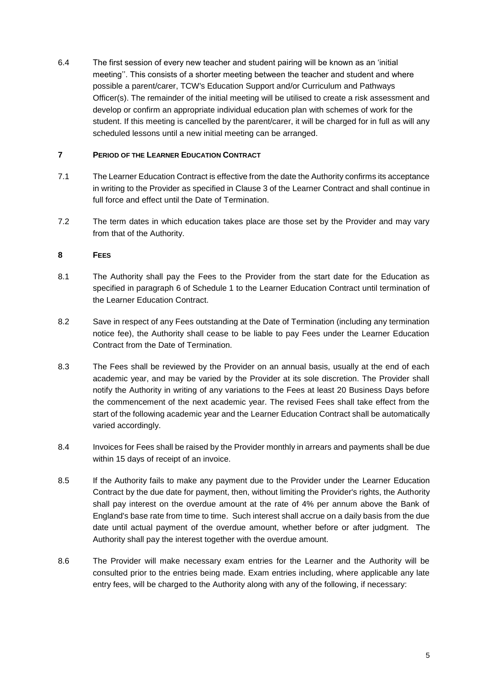6.4 The first session of every new teacher and student pairing will be known as an 'initial meeting''. This consists of a shorter meeting between the teacher and student and where possible a parent/carer, TCW's Education Support and/or Curriculum and Pathways Officer(s). The remainder of the initial meeting will be utilised to create a risk assessment and develop or confirm an appropriate individual education plan with schemes of work for the student. If this meeting is cancelled by the parent/carer, it will be charged for in full as will any scheduled lessons until a new initial meeting can be arranged.

## **7 PERIOD OF THE LEARNER EDUCATION CONTRACT**

- 7.1 The Learner Education Contract is effective from the date the Authority confirms its acceptance in writing to the Provider as specified in Clause 3 of the Learner Contract and shall continue in full force and effect until the Date of Termination.
- 7.2 The term dates in which education takes place are those set by the Provider and may vary from that of the Authority.

# **8 FEES**

- 8.1 The Authority shall pay the Fees to the Provider from the start date for the Education as specified in paragraph 6 of Schedule 1 to the Learner Education Contract until termination of the Learner Education Contract.
- 8.2 Save in respect of any Fees outstanding at the Date of Termination (including any termination notice fee), the Authority shall cease to be liable to pay Fees under the Learner Education Contract from the Date of Termination.
- 8.3 The Fees shall be reviewed by the Provider on an annual basis, usually at the end of each academic year, and may be varied by the Provider at its sole discretion. The Provider shall notify the Authority in writing of any variations to the Fees at least 20 Business Days before the commencement of the next academic year. The revised Fees shall take effect from the start of the following academic year and the Learner Education Contract shall be automatically varied accordingly.
- 8.4 Invoices for Fees shall be raised by the Provider monthly in arrears and payments shall be due within 15 days of receipt of an invoice.
- 8.5 If the Authority fails to make any payment due to the Provider under the Learner Education Contract by the due date for payment, then, without limiting the Provider's rights, the Authority shall pay interest on the overdue amount at the rate of 4% per annum above the Bank of England's base rate from time to time. Such interest shall accrue on a daily basis from the due date until actual payment of the overdue amount, whether before or after judgment. The Authority shall pay the interest together with the overdue amount.
- 8.6 The Provider will make necessary exam entries for the Learner and the Authority will be consulted prior to the entries being made. Exam entries including, where applicable any late entry fees, will be charged to the Authority along with any of the following, if necessary: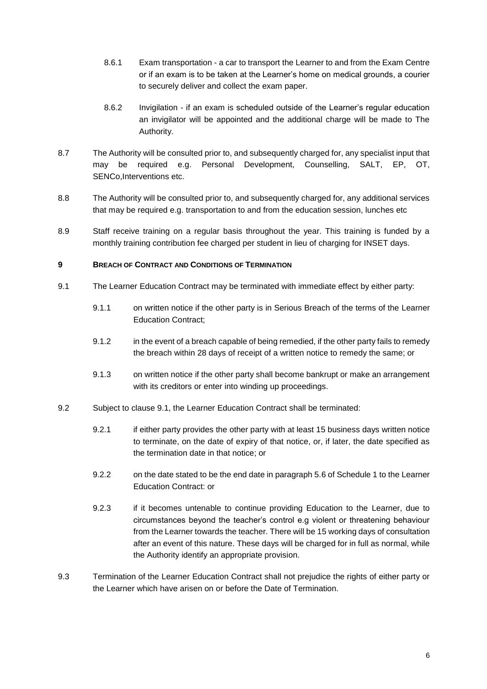- 8.6.1 Exam transportation a car to transport the Learner to and from the Exam Centre or if an exam is to be taken at the Learner's home on medical grounds, a courier to securely deliver and collect the exam paper.
- 8.6.2 Invigilation if an exam is scheduled outside of the Learner's regular education an invigilator will be appointed and the additional charge will be made to The Authority.
- 8.7 The Authority will be consulted prior to, and subsequently charged for, any specialist input that may be required e.g. Personal Development, Counselling, SALT, EP, OT, SENCo, Interventions etc.
- 8.8 The Authority will be consulted prior to, and subsequently charged for, any additional services that may be required e.g. transportation to and from the education session, lunches etc
- 8.9 Staff receive training on a regular basis throughout the year. This training is funded by a monthly training contribution fee charged per student in lieu of charging for INSET days.

#### **9 BREACH OF CONTRACT AND CONDITIONS OF TERMINATION**

- 9.1 The Learner Education Contract may be terminated with immediate effect by either party:
	- 9.1.1 on written notice if the other party is in Serious Breach of the terms of the Learner Education Contract;
	- 9.1.2 in the event of a breach capable of being remedied, if the other party fails to remedy the breach within 28 days of receipt of a written notice to remedy the same; or
	- 9.1.3 on written notice if the other party shall become bankrupt or make an arrangement with its creditors or enter into winding up proceedings.
- 9.2 Subject to clause 9.1, the Learner Education Contract shall be terminated:
	- 9.2.1 if either party provides the other party with at least 15 business days written notice to terminate, on the date of expiry of that notice, or, if later, the date specified as the termination date in that notice; or
	- 9.2.2 on the date stated to be the end date in paragraph 5.6 of Schedule 1 to the Learner Education Contract: or
	- 9.2.3 if it becomes untenable to continue providing Education to the Learner, due to circumstances beyond the teacher's control e.g violent or threatening behaviour from the Learner towards the teacher. There will be 15 working days of consultation after an event of this nature. These days will be charged for in full as normal, while the Authority identify an appropriate provision.
- 9.3 Termination of the Learner Education Contract shall not prejudice the rights of either party or the Learner which have arisen on or before the Date of Termination.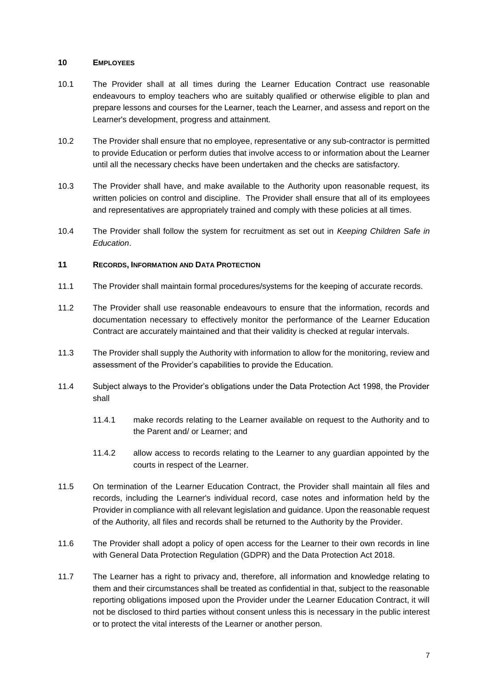#### **10 EMPLOYEES**

- 10.1 The Provider shall at all times during the Learner Education Contract use reasonable endeavours to employ teachers who are suitably qualified or otherwise eligible to plan and prepare lessons and courses for the Learner, teach the Learner, and assess and report on the Learner's development, progress and attainment.
- 10.2 The Provider shall ensure that no employee, representative or any sub-contractor is permitted to provide Education or perform duties that involve access to or information about the Learner until all the necessary checks have been undertaken and the checks are satisfactory.
- 10.3 The Provider shall have, and make available to the Authority upon reasonable request, its written policies on control and discipline. The Provider shall ensure that all of its employees and representatives are appropriately trained and comply with these policies at all times.
- 10.4 The Provider shall follow the system for recruitment as set out in *Keeping Children Safe in Education*.

## **11 RECORDS, INFORMATION AND DATA PROTECTION**

- 11.1 The Provider shall maintain formal procedures/systems for the keeping of accurate records.
- 11.2 The Provider shall use reasonable endeavours to ensure that the information, records and documentation necessary to effectively monitor the performance of the Learner Education Contract are accurately maintained and that their validity is checked at regular intervals.
- 11.3 The Provider shall supply the Authority with information to allow for the monitoring, review and assessment of the Provider's capabilities to provide the Education.
- 11.4 Subject always to the Provider's obligations under the Data Protection Act 1998, the Provider shall
	- 11.4.1 make records relating to the Learner available on request to the Authority and to the Parent and/ or Learner; and
	- 11.4.2 allow access to records relating to the Learner to any guardian appointed by the courts in respect of the Learner.
- 11.5 On termination of the Learner Education Contract, the Provider shall maintain all files and records, including the Learner's individual record, case notes and information held by the Provider in compliance with all relevant legislation and guidance. Upon the reasonable request of the Authority, all files and records shall be returned to the Authority by the Provider.
- 11.6 The Provider shall adopt a policy of open access for the Learner to their own records in line with General Data Protection Regulation (GDPR) and the Data Protection Act 2018.
- 11.7 The Learner has a right to privacy and, therefore, all information and knowledge relating to them and their circumstances shall be treated as confidential in that, subject to the reasonable reporting obligations imposed upon the Provider under the Learner Education Contract, it will not be disclosed to third parties without consent unless this is necessary in the public interest or to protect the vital interests of the Learner or another person.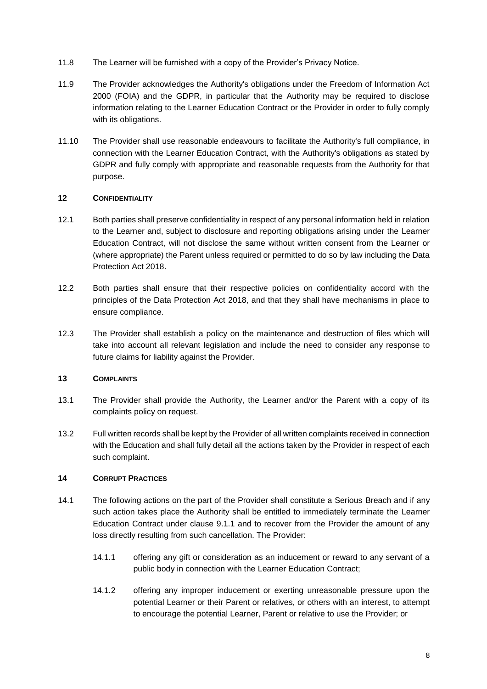- 11.8 The Learner will be furnished with a copy of the Provider's Privacy Notice.
- 11.9 The Provider acknowledges the Authority's obligations under the Freedom of Information Act 2000 (FOIA) and the GDPR, in particular that the Authority may be required to disclose information relating to the Learner Education Contract or the Provider in order to fully comply with its obligations.
- 11.10 The Provider shall use reasonable endeavours to facilitate the Authority's full compliance, in connection with the Learner Education Contract, with the Authority's obligations as stated by GDPR and fully comply with appropriate and reasonable requests from the Authority for that purpose.

# **12 CONFIDENTIALITY**

- 12.1 Both parties shall preserve confidentiality in respect of any personal information held in relation to the Learner and, subject to disclosure and reporting obligations arising under the Learner Education Contract, will not disclose the same without written consent from the Learner or (where appropriate) the Parent unless required or permitted to do so by law including the Data Protection Act 2018.
- 12.2 Both parties shall ensure that their respective policies on confidentiality accord with the principles of the Data Protection Act 2018, and that they shall have mechanisms in place to ensure compliance.
- 12.3 The Provider shall establish a policy on the maintenance and destruction of files which will take into account all relevant legislation and include the need to consider any response to future claims for liability against the Provider.

## **13 COMPLAINTS**

- 13.1 The Provider shall provide the Authority, the Learner and/or the Parent with a copy of its complaints policy on request.
- 13.2 Full written records shall be kept by the Provider of all written complaints received in connection with the Education and shall fully detail all the actions taken by the Provider in respect of each such complaint.

# **14 CORRUPT PRACTICES**

- 14.1 The following actions on the part of the Provider shall constitute a Serious Breach and if any such action takes place the Authority shall be entitled to immediately terminate the Learner Education Contract under clause 9.1.1 and to recover from the Provider the amount of any loss directly resulting from such cancellation. The Provider:
	- 14.1.1 offering any gift or consideration as an inducement or reward to any servant of a public body in connection with the Learner Education Contract;
	- 14.1.2 offering any improper inducement or exerting unreasonable pressure upon the potential Learner or their Parent or relatives, or others with an interest, to attempt to encourage the potential Learner, Parent or relative to use the Provider; or